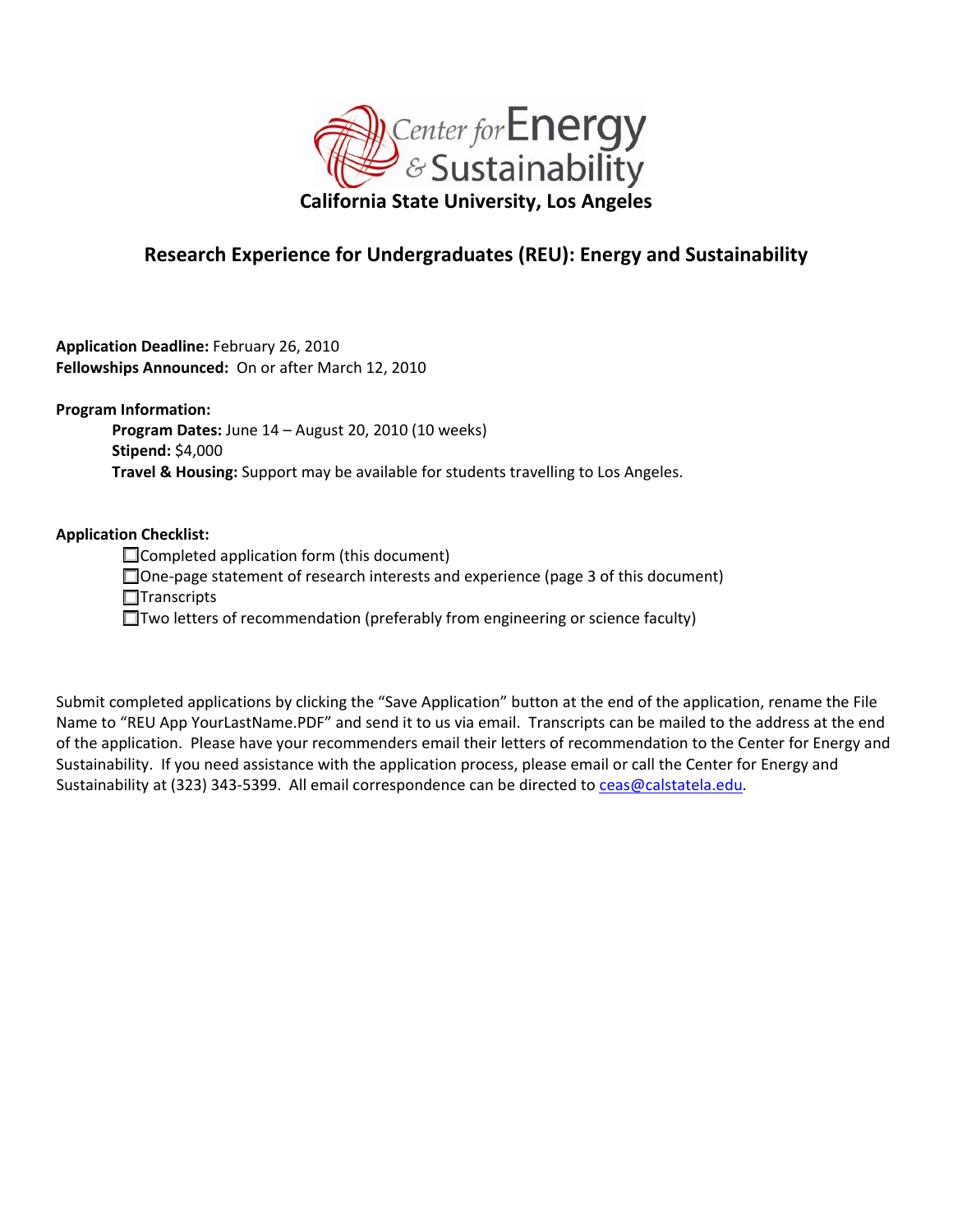

## **Research Experience for Undergraduates (REU): Energy and Sustainability**

**Application Deadline:** February 26, 2010 **Fellowships Announced:** On or after March 12, 2010

**Program Information:**

**Program Dates:** June 14 – August 20, 2010 (10 weeks) **Stipend:** \$4,000 **Travel & Housing:** Support may be available for students travelling to Los Angeles.

## **Application Checklist:**

□ Completed application form (this document)

One‐page statement of research interests and experience (page 3 of this document)

 $\Box$ Transcripts

□Two letters of recommendation (preferably from engineering or science faculty)

Submit completed applications by clicking the "Save Application" button at the end of the application, rename the File Name to "REU App YourLastName.PDF" and send it to us via email. Transcripts can be mailed to the address at the end of the application. Please have your recommenders email their letters of recommendation to the Center for Energy and Sustainability. If you need assistance with the application process, please email or call the Center for Energy and Sustainability at (323) 343-5399. All email correspondence can be directed to [ceas@calstatela.edu](mailto:ceas@calstatela.edu).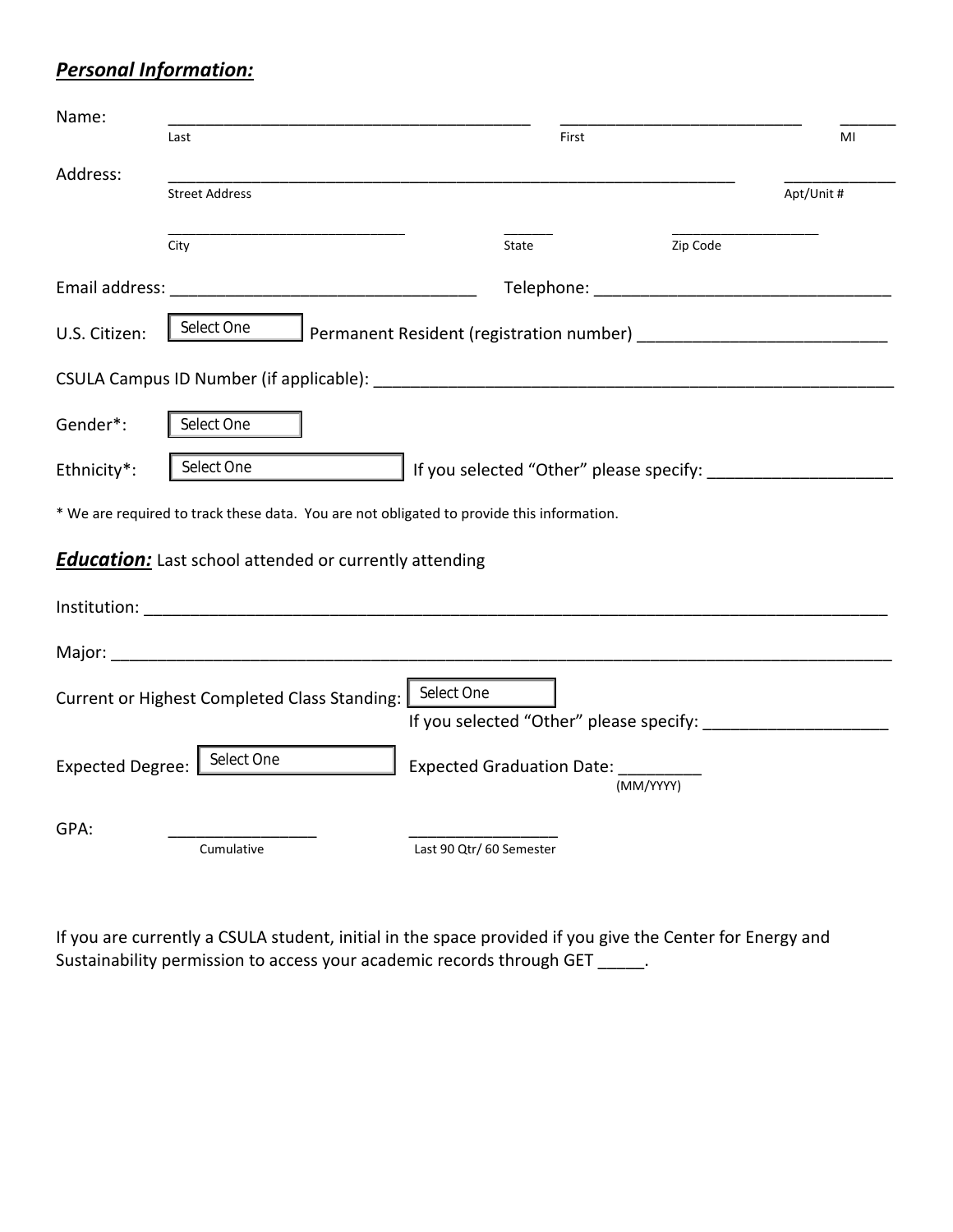## *Personal Information:*

| Name:                                                                                     |                                                        |                                                       |           |            |  |  |
|-------------------------------------------------------------------------------------------|--------------------------------------------------------|-------------------------------------------------------|-----------|------------|--|--|
|                                                                                           | Last                                                   | First                                                 |           | MI         |  |  |
| Address:                                                                                  | <b>Street Address</b>                                  |                                                       |           | Apt/Unit # |  |  |
|                                                                                           | City                                                   | State                                                 | Zip Code  |            |  |  |
|                                                                                           |                                                        |                                                       |           |            |  |  |
| U.S. Citizen:                                                                             | Select One<br>Permanent Resident (registration number) |                                                       |           |            |  |  |
|                                                                                           |                                                        |                                                       |           |            |  |  |
| Gender*:                                                                                  | Select One                                             |                                                       |           |            |  |  |
| Ethnicity*:                                                                               | Select One                                             |                                                       |           |            |  |  |
| * We are required to track these data. You are not obligated to provide this information. |                                                        |                                                       |           |            |  |  |
| <b>Education:</b> Last school attended or currently attending                             |                                                        |                                                       |           |            |  |  |
|                                                                                           |                                                        |                                                       |           |            |  |  |
|                                                                                           |                                                        |                                                       |           |            |  |  |
|                                                                                           | Current or Highest Completed Class Standing:           | Select One<br>If you selected "Other" please specify: |           |            |  |  |
| <b>Expected Degree:</b>                                                                   | Select One                                             | Expected Graduation Date: ______                      | (MM/YYYY) |            |  |  |
| GPA:                                                                                      | Cumulative                                             | Last 90 Qtr/ 60 Semester                              |           |            |  |  |

If you are currently a CSULA student, initial in the space provided if you give the Center for Energy and Sustainability permission to access your academic records through GET \_\_\_\_\_\_.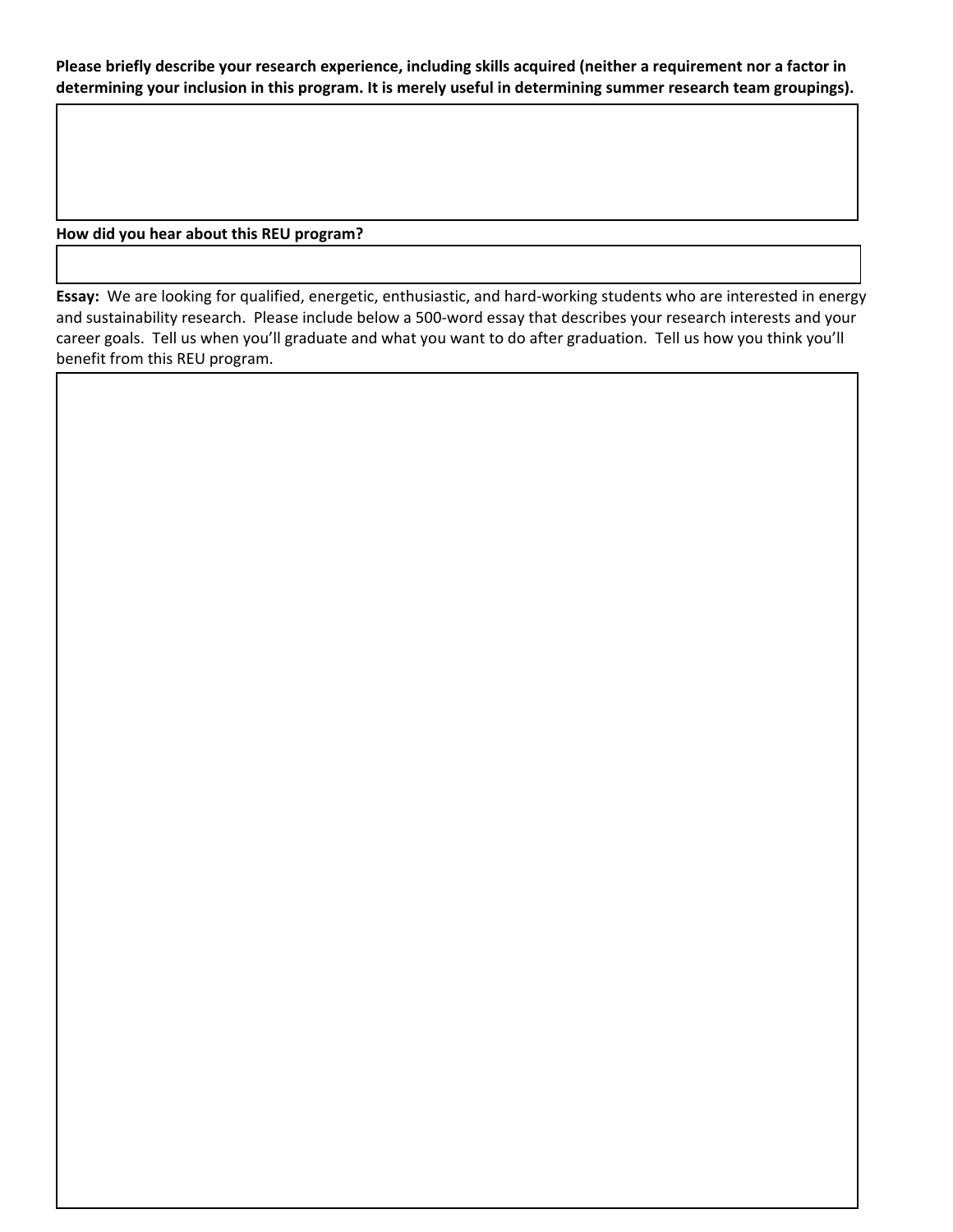Please briefly describe your research experience, including skills acquired (neither a requirement nor a factor in **determining your inclusion in this program. It is merely useful in determining summer research team groupings).**

**How did you hear about this REU program?** 

Essay: We are looking for qualified, energetic, enthusiastic, and hard-working students who are interested in energy and sustainability research. Please include below a 500-word essay that describes your research interests and your career goals. Tell us when you'll graduate and what you want to do after graduation. Tell us how you think you'll benefit from this REU program.